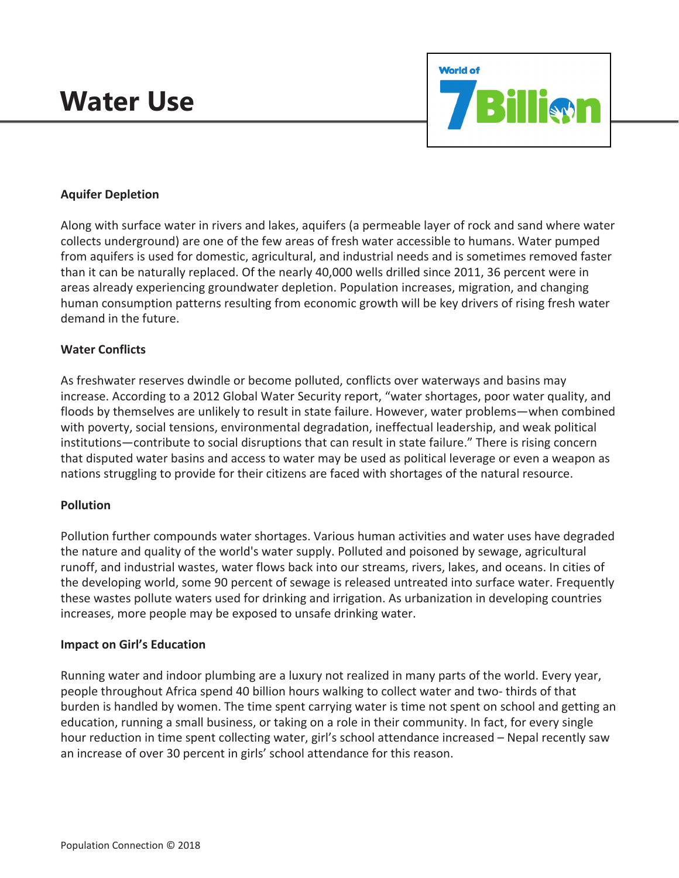# **Water Use**



# **Aquifer Depletion**

Along with surface water in rivers and lakes, aquifers (a permeable layer of rock and sand where water collects underground) are one of the few areas of fresh water accessible to humans. Water pumped from aquifers is used for domestic, agricultural, and industrial needs and is sometimes removed faster than it can be naturally replaced. Of the nearly 40,000 wells drilled since 2011, 36 percent were in areas already experiencing groundwater depletion. Population increases, migration, and changing human consumption patterns resulting from economic growth will be key drivers of rising fresh water demand in the future.

### **Water Conflicts**

As freshwater reserves dwindle or become polluted, conflicts over waterways and basins may increase. According to a 2012 Global Water Security report, "water shortages, poor water quality, and floods by themselves are unlikely to result in state failure. However, water problems—when combined with poverty, social tensions, environmental degradation, ineffectual leadership, and weak political institutions—contribute to social disruptions that can result in state failure." There is rising concern that disputed water basins and access to water may be used as political leverage or even a weapon as nations struggling to provide for their citizens are faced with shortages of the natural resource.

#### **Pollution**

Pollution further compounds water shortages. Various human activities and water uses have degraded the nature and quality of the world's water supply. Polluted and poisoned by sewage, agricultural runoff, and industrial wastes, water flows back into our streams, rivers, lakes, and oceans. In cities of the developing world, some 90 percent of sewage is released untreated into surface water. Frequently these wastes pollute waters used for drinking and irrigation. As urbanization in developing countries increases, more people may be exposed to unsafe drinking water.

#### **Impact on Girl's Education**

Running water and indoor plumbing are a luxury not realized in many parts of the world. Every year, people throughout Africa spend 40 billion hours walking to collect water and two- thirds of that burden is handled by women. The time spent carrying water is time not spent on school and getting an education, running a small business, or taking on a role in their community. In fact, for every single hour reduction in time spent collecting water, girl's school attendance increased – Nepal recently saw an increase of over 30 percent in girls' school attendance for this reason.